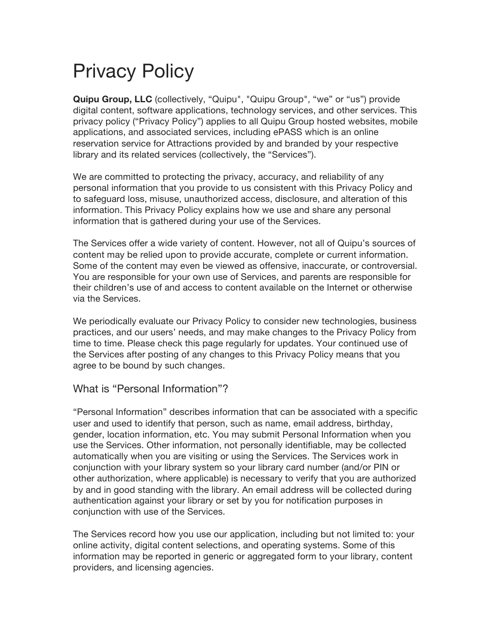# Privacy Policy

**Quipu Group, LLC** (collectively, "Quipu", "Quipu Group", "we" or "us") provide digital content, software applications, technology services, and other services. This privacy policy ("Privacy Policy") applies to all Quipu Group hosted websites, mobile applications, and associated services, including ePASS which is an online reservation service for Attractions provided by and branded by your respective library and its related services (collectively, the "Services").

We are committed to protecting the privacy, accuracy, and reliability of any personal information that you provide to us consistent with this Privacy Policy and to safeguard loss, misuse, unauthorized access, disclosure, and alteration of this information. This Privacy Policy explains how we use and share any personal information that is gathered during your use of the Services.

The Services offer a wide variety of content. However, not all of Quipu's sources of content may be relied upon to provide accurate, complete or current information. Some of the content may even be viewed as offensive, inaccurate, or controversial. You are responsible for your own use of Services, and parents are responsible for their children's use of and access to content available on the Internet or otherwise via the Services.

We periodically evaluate our Privacy Policy to consider new technologies, business practices, and our users' needs, and may make changes to the Privacy Policy from time to time. Please check this page regularly for updates. Your continued use of the Services after posting of any changes to this Privacy Policy means that you agree to be bound by such changes.

#### What is "Personal Information"?

"Personal Information" describes information that can be associated with a specific user and used to identify that person, such as name, email address, birthday, gender, location information, etc. You may submit Personal Information when you use the Services. Other information, not personally identifiable, may be collected automatically when you are visiting or using the Services. The Services work in conjunction with your library system so your library card number (and/or PIN or other authorization, where applicable) is necessary to verify that you are authorized by and in good standing with the library. An email address will be collected during authentication against your library or set by you for notification purposes in conjunction with use of the Services.

The Services record how you use our application, including but not limited to: your online activity, digital content selections, and operating systems. Some of this information may be reported in generic or aggregated form to your library, content providers, and licensing agencies.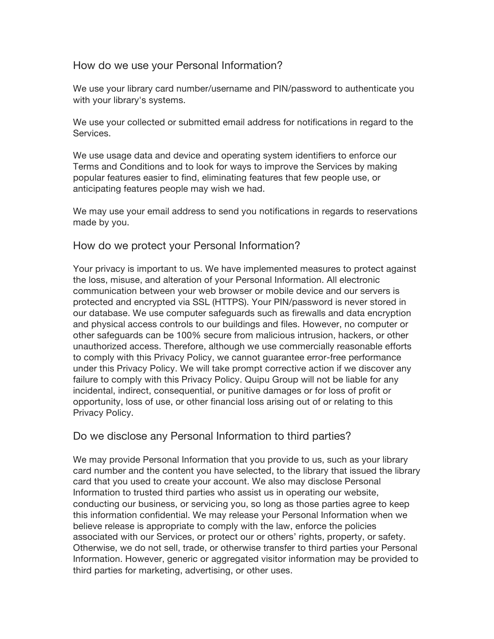# How do we use your Personal Information?

We use your library card number/username and PIN/password to authenticate you with your library's systems.

We use your collected or submitted email address for notifications in regard to the Services.

We use usage data and device and operating system identifiers to enforce our Terms and Conditions and to look for ways to improve the Services by making popular features easier to find, eliminating features that few people use, or anticipating features people may wish we had.

We may use your email address to send you notifications in regards to reservations made by you.

# How do we protect your Personal Information?

Your privacy is important to us. We have implemented measures to protect against the loss, misuse, and alteration of your Personal Information. All electronic communication between your web browser or mobile device and our servers is protected and encrypted via SSL (HTTPS). Your PIN/password is never stored in our database. We use computer safeguards such as firewalls and data encryption and physical access controls to our buildings and files. However, no computer or other safeguards can be 100% secure from malicious intrusion, hackers, or other unauthorized access. Therefore, although we use commercially reasonable efforts to comply with this Privacy Policy, we cannot guarantee error-free performance under this Privacy Policy. We will take prompt corrective action if we discover any failure to comply with this Privacy Policy. Quipu Group will not be liable for any incidental, indirect, consequential, or punitive damages or for loss of profit or opportunity, loss of use, or other financial loss arising out of or relating to this Privacy Policy.

# Do we disclose any Personal Information to third parties?

We may provide Personal Information that you provide to us, such as your library card number and the content you have selected, to the library that issued the library card that you used to create your account. We also may disclose Personal Information to trusted third parties who assist us in operating our website, conducting our business, or servicing you, so long as those parties agree to keep this information confidential. We may release your Personal Information when we believe release is appropriate to comply with the law, enforce the policies associated with our Services, or protect our or others' rights, property, or safety. Otherwise, we do not sell, trade, or otherwise transfer to third parties your Personal Information. However, generic or aggregated visitor information may be provided to third parties for marketing, advertising, or other uses.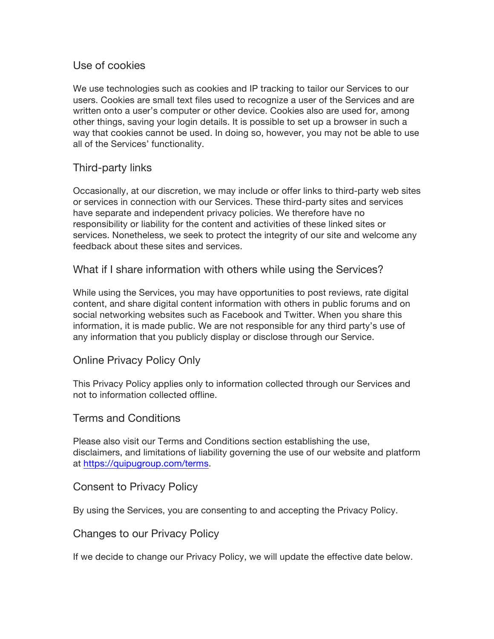# Use of cookies

We use technologies such as cookies and IP tracking to tailor our Services to our users. Cookies are small text files used to recognize a user of the Services and are written onto a user's computer or other device. Cookies also are used for, among other things, saving your login details. It is possible to set up a browser in such a way that cookies cannot be used. In doing so, however, you may not be able to use all of the Services' functionality.

# Third-party links

Occasionally, at our discretion, we may include or offer links to third-party web sites or services in connection with our Services. These third-party sites and services have separate and independent privacy policies. We therefore have no responsibility or liability for the content and activities of these linked sites or services. Nonetheless, we seek to protect the integrity of our site and welcome any feedback about these sites and services.

#### What if I share information with others while using the Services?

While using the Services, you may have opportunities to post reviews, rate digital content, and share digital content information with others in public forums and on social networking websites such as Facebook and Twitter. When you share this information, it is made public. We are not responsible for any third party's use of any information that you publicly display or disclose through our Service.

#### Online Privacy Policy Only

This Privacy Policy applies only to information collected through our Services and not to information collected offline.

#### Terms and Conditions

Please also visit our Terms and Conditions section establishing the use, disclaimers, and limitations of liability governing the use of our website and platform at https://quipugroup.com/terms.

#### Consent to Privacy Policy

By using the Services, you are consenting to and accepting the Privacy Policy.

#### Changes to our Privacy Policy

If we decide to change our Privacy Policy, we will update the effective date below.